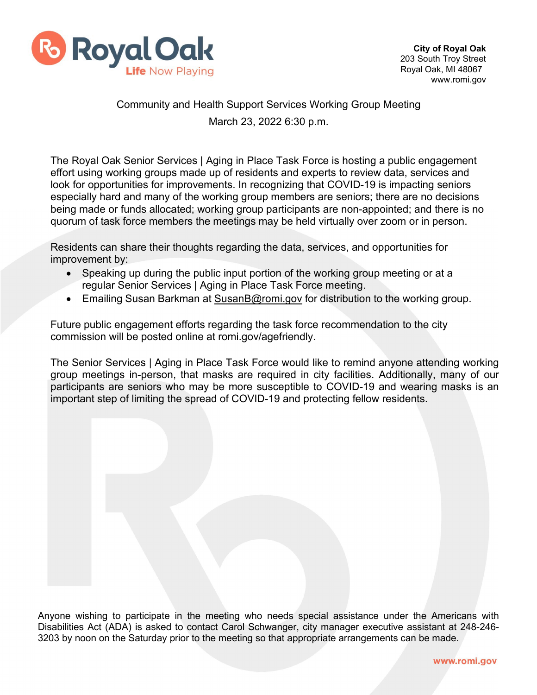

## Community and Health Support Services Working Group Meeting March 23, 2022 6:30 p.m.

The Royal Oak Senior Services | Aging in Place Task Force is hosting a public engagement effort using working groups made up of residents and experts to review data, services and look for opportunities for improvements. In recognizing that COVID-19 is impacting seniors especially hard and many of the working group members are seniors; there are no decisions being made or funds allocated; working group participants are non-appointed; and there is no quorum of task force members the meetings may be held virtually over zoom or in person.

Residents can share their thoughts regarding the data, services, and opportunities for improvement by:

- Speaking up during the public input portion of the working group meeting or at a regular Senior Services | Aging in Place Task Force meeting.
- Emailing Susan Barkman at [SusanB@romi.gov](mailto:SusanB@romi.gov) for distribution to the working group.

Future public engagement efforts regarding the task force recommendation to the city commission will be posted online at romi.gov/agefriendly.

The Senior Services | Aging in Place Task Force would like to remind anyone attending working group meetings in-person, that masks are required in city facilities. Additionally, many of our participants are seniors who may be more susceptible to COVID-19 and wearing masks is an important step of limiting the spread of COVID-19 and protecting fellow residents.

Anyone wishing to participate in the meeting who needs special assistance under the Americans with Disabilities Act (ADA) is asked to contact Carol Schwanger, city manager executive assistant at 248-246- 3203 by noon on the Saturday prior to the meeting so that appropriate arrangements can be made.